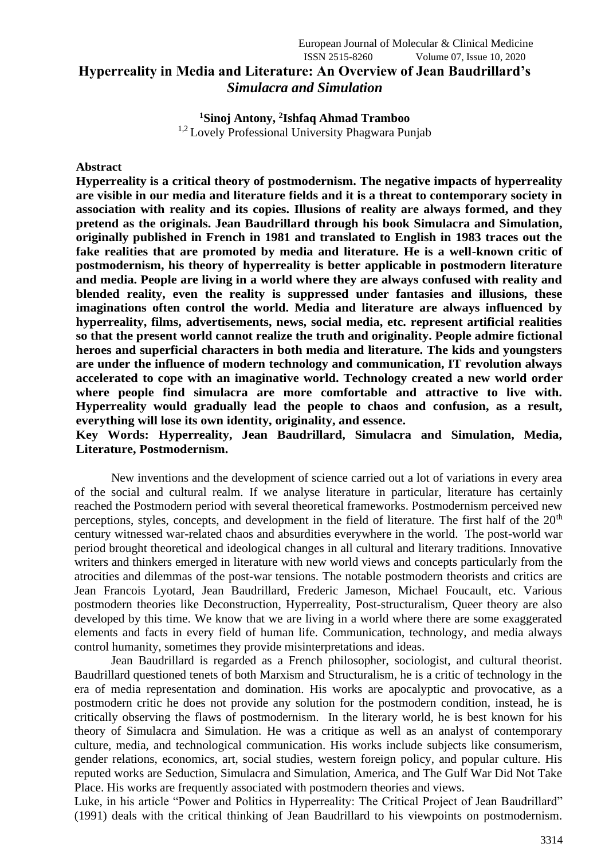## European Journal of Molecular & Clinical Medicine ISSN 2515-8260 Volume 07, Issue 10, 2020 **Hyperreality in Media and Literature: An Overview of Jean Baudrillard's**  *Simulacra and Simulation*

**<sup>1</sup>Sinoj Antony, 2 Ishfaq Ahmad Tramboo** <sup>1,2</sup> Lovely Professional University Phagwara Punjab

### **Abstract**

**Hyperreality is a critical theory of postmodernism. The negative impacts of hyperreality are visible in our media and literature fields and it is a threat to contemporary society in association with reality and its copies. Illusions of reality are always formed, and they pretend as the originals. Jean Baudrillard through his book Simulacra and Simulation, originally published in French in 1981 and translated to English in 1983 traces out the fake realities that are promoted by media and literature. He is a well-known critic of postmodernism, his theory of hyperreality is better applicable in postmodern literature and media. People are living in a world where they are always confused with reality and blended reality, even the reality is suppressed under fantasies and illusions, these imaginations often control the world. Media and literature are always influenced by hyperreality, films, advertisements, news, social media, etc. represent artificial realities so that the present world cannot realize the truth and originality. People admire fictional heroes and superficial characters in both media and literature. The kids and youngsters are under the influence of modern technology and communication, IT revolution always accelerated to cope with an imaginative world. Technology created a new world order where people find simulacra are more comfortable and attractive to live with. Hyperreality would gradually lead the people to chaos and confusion, as a result, everything will lose its own identity, originality, and essence.**

**Key Words: Hyperreality, Jean Baudrillard, Simulacra and Simulation, Media, Literature, Postmodernism.**

New inventions and the development of science carried out a lot of variations in every area of the social and cultural realm. If we analyse literature in particular, literature has certainly reached the Postmodern period with several theoretical frameworks. Postmodernism perceived new perceptions, styles, concepts, and development in the field of literature. The first half of the  $20<sup>th</sup>$ century witnessed war-related chaos and absurdities everywhere in the world. The post-world war period brought theoretical and ideological changes in all cultural and literary traditions. Innovative writers and thinkers emerged in literature with new world views and concepts particularly from the atrocities and dilemmas of the post-war tensions. The notable postmodern theorists and critics are Jean Francois Lyotard, Jean Baudrillard, Frederic Jameson, Michael Foucault, etc. Various postmodern theories like Deconstruction, Hyperreality, Post-structuralism, Queer theory are also developed by this time. We know that we are living in a world where there are some exaggerated elements and facts in every field of human life. Communication, technology, and media always control humanity, sometimes they provide misinterpretations and ideas.

Jean Baudrillard is regarded as a French philosopher, sociologist, and cultural theorist. Baudrillard questioned tenets of both Marxism and Structuralism, he is a critic of technology in the era of media representation and domination. His works are apocalyptic and provocative, as a postmodern critic he does not provide any solution for the postmodern condition, instead, he is critically observing the flaws of postmodernism. In the literary world, he is best known for his theory of Simulacra and Simulation. He was a critique as well as an analyst of contemporary culture, media, and technological communication. His works include subjects like consumerism, gender relations, economics, art, social studies, western foreign policy, and popular culture. His reputed works are Seduction, Simulacra and Simulation, America, and The Gulf War Did Not Take Place. His works are frequently associated with postmodern theories and views.

Luke, in his article "Power and Politics in Hyperreality: The Critical Project of Jean Baudrillard" (1991) deals with the critical thinking of Jean Baudrillard to his viewpoints on postmodernism.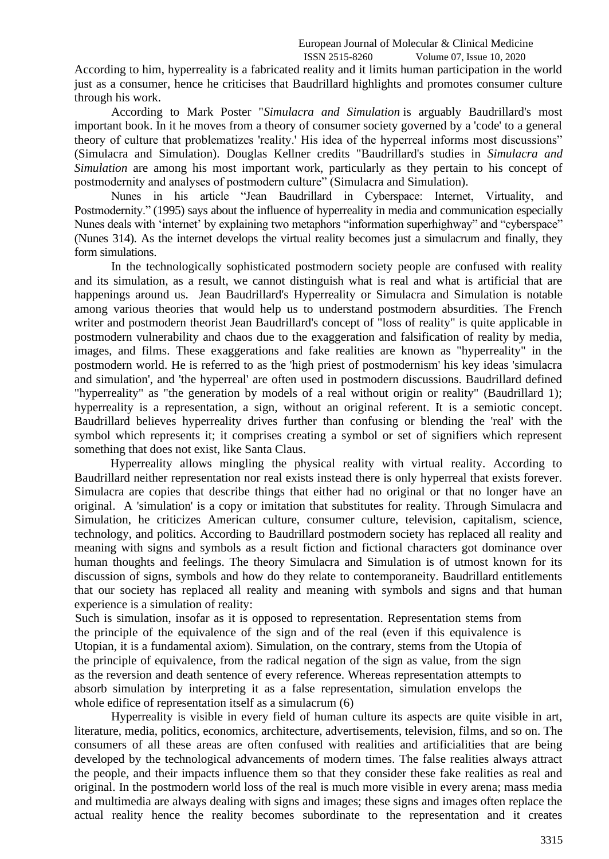## European Journal of Molecular & Clinical Medicine

ISSN 2515-8260 Volume 07, Issue 10, 2020

According to him, hyperreality is a fabricated reality and it limits human participation in the world just as a consumer, hence he criticises that Baudrillard highlights and promotes consumer culture through his work.

According to Mark Poster "*Simulacra and Simulation* is arguably Baudrillard's most important book. In it he moves from a theory of consumer society governed by a 'code' to a general theory of culture that problematizes 'reality.' His idea of the hyperreal informs most discussions" (Simulacra and Simulation). Douglas Kellner credits "Baudrillard's studies in *Simulacra and Simulation* are among his most important work, particularly as they pertain to his concept of postmodernity and analyses of postmodern culture" (Simulacra and Simulation).

Nunes in his article "Jean Baudrillard in Cyberspace: Internet, Virtuality, and Postmodernity." (1995) says about the influence of hyperreality in media and communication especially Nunes deals with 'internet' by explaining two metaphors "information superhighway" and "cyberspace" (Nunes 314). As the internet develops the virtual reality becomes just a simulacrum and finally, they form simulations.

In the technologically sophisticated postmodern society people are confused with reality and its simulation, as a result, we cannot distinguish what is real and what is artificial that are happenings around us. Jean Baudrillard's Hyperreality or Simulacra and Simulation is notable among various theories that would help us to understand postmodern absurdities. The French writer and postmodern theorist Jean Baudrillard's concept of "loss of reality" is quite applicable in postmodern vulnerability and chaos due to the exaggeration and falsification of reality by media, images, and films. These exaggerations and fake realities are known as "hyperreality" in the postmodern world. He is referred to as the 'high priest of postmodernism' his key ideas 'simulacra and simulation', and 'the hyperreal' are often used in postmodern discussions. Baudrillard defined "hyperreality" as "the generation by models of a real without origin or reality" (Baudrillard 1); hyperreality is a representation, a sign, without an original referent. It is a semiotic concept. Baudrillard believes hyperreality drives further than confusing or blending the 'real' with the symbol which represents it; it comprises creating a symbol or set of signifiers which represent something that does not exist, like Santa Claus.

Hyperreality allows mingling the physical reality with virtual reality. According to Baudrillard neither representation nor real exists instead there is only hyperreal that exists forever. Simulacra are copies that describe things that either had no original or that no longer have an original. A 'simulation' is a copy or imitation that substitutes for reality. Through Simulacra and Simulation, he criticizes American culture, consumer culture, television, capitalism, science, technology, and politics. According to Baudrillard postmodern society has replaced all reality and meaning with signs and symbols as a result fiction and fictional characters got dominance over human thoughts and feelings. The theory Simulacra and Simulation is of utmost known for its discussion of signs, symbols and how do they relate to contemporaneity. Baudrillard entitlements that our society has replaced all reality and meaning with symbols and signs and that human experience is a simulation of reality:

Such is simulation, insofar as it is opposed to representation. Representation stems from the principle of the equivalence of the sign and of the real (even if this equivalence is Utopian, it is a fundamental axiom). Simulation, on the contrary, stems from the Utopia of the principle of equivalence, from the radical negation of the sign as value, from the sign as the reversion and death sentence of every reference. Whereas representation attempts to absorb simulation by interpreting it as a false representation, simulation envelops the whole edifice of representation itself as a simulacrum (6)

Hyperreality is visible in every field of human culture its aspects are quite visible in art, literature, media, politics, economics, architecture, advertisements, television, films, and so on. The consumers of all these areas are often confused with realities and artificialities that are being developed by the technological advancements of modern times. The false realities always attract the people, and their impacts influence them so that they consider these fake realities as real and original. In the postmodern world loss of the real is much more visible in every arena; mass media and multimedia are always dealing with signs and images; these signs and images often replace the actual reality hence the reality becomes subordinate to the representation and it creates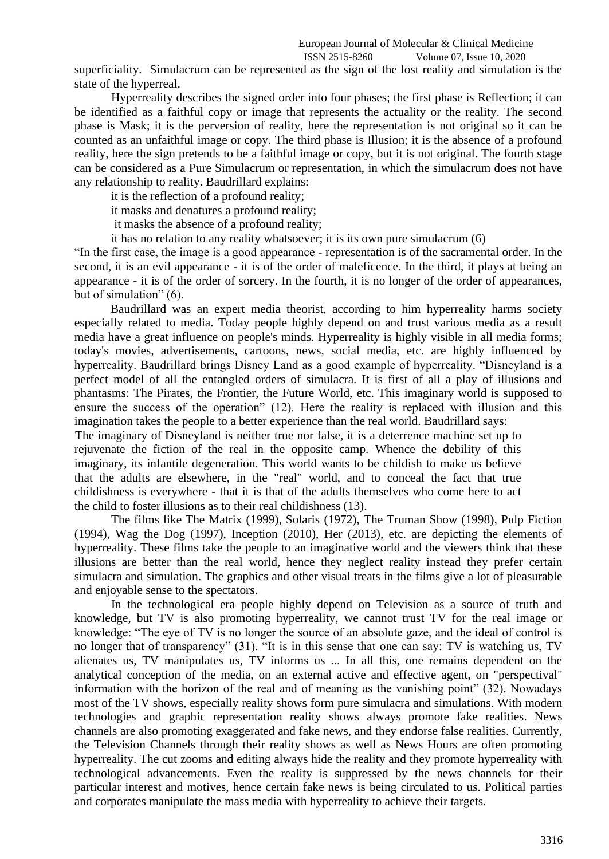# European Journal of Molecular & Clinical Medicine

ISSN 2515-8260 Volume 07, Issue 10, 2020

superficiality. Simulacrum can be represented as the sign of the lost reality and simulation is the state of the hyperreal.

Hyperreality describes the signed order into four phases; the first phase is Reflection; it can be identified as a faithful copy or image that represents the actuality or the reality. The second phase is Mask; it is the perversion of reality, here the representation is not original so it can be counted as an unfaithful image or copy. The third phase is Illusion; it is the absence of a profound reality, here the sign pretends to be a faithful image or copy, but it is not original. The fourth stage can be considered as a Pure Simulacrum or representation, in which the simulacrum does not have any relationship to reality. Baudrillard explains:

it is the reflection of a profound reality;

it masks and denatures a profound reality;

it masks the absence of a profound reality;

it has no relation to any reality whatsoever; it is its own pure simulacrum (6)

"In the first case, the image is a good appearance - representation is of the sacramental order. In the second, it is an evil appearance - it is of the order of maleficence. In the third, it plays at being an appearance - it is of the order of sorcery. In the fourth, it is no longer of the order of appearances, but of simulation" (6).

Baudrillard was an expert media theorist, according to him hyperreality harms society especially related to media. Today people highly depend on and trust various media as a result media have a great influence on people's minds. Hyperreality is highly visible in all media forms; today's movies, advertisements, cartoons, news, social media, etc. are highly influenced by hyperreality. Baudrillard brings Disney Land as a good example of hyperreality. "Disneyland is a perfect model of all the entangled orders of simulacra. It is first of all a play of illusions and phantasms: The Pirates, the Frontier, the Future World, etc. This imaginary world is supposed to ensure the success of the operation" (12). Here the reality is replaced with illusion and this imagination takes the people to a better experience than the real world. Baudrillard says:

The imaginary of Disneyland is neither true nor false, it is a deterrence machine set up to rejuvenate the fiction of the real in the opposite camp. Whence the debility of this imaginary, its infantile degeneration. This world wants to be childish to make us believe that the adults are elsewhere, in the "real" world, and to conceal the fact that true childishness is everywhere - that it is that of the adults themselves who come here to act the child to foster illusions as to their real childishness (13).

The films like The Matrix (1999), Solaris (1972), The Truman Show (1998), Pulp Fiction (1994), Wag the Dog (1997), Inception (2010), Her (2013), etc. are depicting the elements of hyperreality. These films take the people to an imaginative world and the viewers think that these illusions are better than the real world, hence they neglect reality instead they prefer certain simulacra and simulation. The graphics and other visual treats in the films give a lot of pleasurable and enjoyable sense to the spectators.

In the technological era people highly depend on Television as a source of truth and knowledge, but TV is also promoting hyperreality, we cannot trust TV for the real image or knowledge: "The eye of TV is no longer the source of an absolute gaze, and the ideal of control is no longer that of transparency" (31). "It is in this sense that one can say: TV is watching us, TV alienates us, TV manipulates us, TV informs us ... In all this, one remains dependent on the analytical conception of the media, on an external active and effective agent, on "perspectival" information with the horizon of the real and of meaning as the vanishing point" (32). Nowadays most of the TV shows, especially reality shows form pure simulacra and simulations. With modern technologies and graphic representation reality shows always promote fake realities. News channels are also promoting exaggerated and fake news, and they endorse false realities. Currently, the Television Channels through their reality shows as well as News Hours are often promoting hyperreality. The cut zooms and editing always hide the reality and they promote hyperreality with technological advancements. Even the reality is suppressed by the news channels for their particular interest and motives, hence certain fake news is being circulated to us. Political parties and corporates manipulate the mass media with hyperreality to achieve their targets.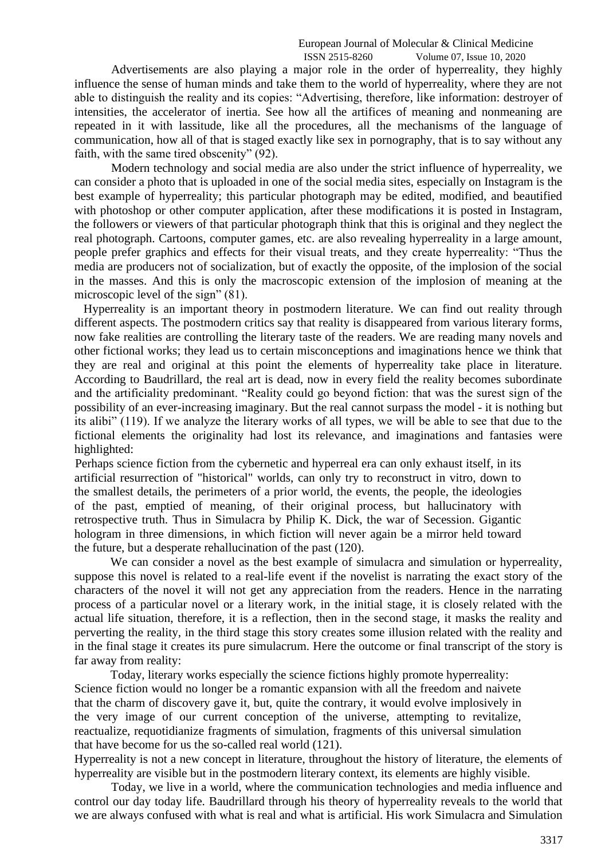#### European Journal of Molecular & Clinical Medicine ISSN 2515-8260 Volume 07, Issue 10, 2020

Advertisements are also playing a major role in the order of hyperreality, they highly influence the sense of human minds and take them to the world of hyperreality, where they are not able to distinguish the reality and its copies: "Advertising, therefore, like information: destroyer of intensities, the accelerator of inertia. See how all the artifices of meaning and nonmeaning are repeated in it with lassitude, like all the procedures, all the mechanisms of the language of communication, how all of that is staged exactly like sex in pornography, that is to say without any faith, with the same tired obscenity" (92).

Modern technology and social media are also under the strict influence of hyperreality, we can consider a photo that is uploaded in one of the social media sites, especially on Instagram is the best example of hyperreality; this particular photograph may be edited, modified, and beautified with photoshop or other computer application, after these modifications it is posted in Instagram, the followers or viewers of that particular photograph think that this is original and they neglect the real photograph. Cartoons, computer games, etc. are also revealing hyperreality in a large amount, people prefer graphics and effects for their visual treats, and they create hyperreality: "Thus the media are producers not of socialization, but of exactly the opposite, of the implosion of the social in the masses. And this is only the macroscopic extension of the implosion of meaning at the microscopic level of the sign" (81).

Hyperreality is an important theory in postmodern literature. We can find out reality through different aspects. The postmodern critics say that reality is disappeared from various literary forms, now fake realities are controlling the literary taste of the readers. We are reading many novels and other fictional works; they lead us to certain misconceptions and imaginations hence we think that they are real and original at this point the elements of hyperreality take place in literature. According to Baudrillard, the real art is dead, now in every field the reality becomes subordinate and the artificiality predominant. "Reality could go beyond fiction: that was the surest sign of the possibility of an ever-increasing imaginary. But the real cannot surpass the model - it is nothing but its alibi" (119). If we analyze the literary works of all types, we will be able to see that due to the fictional elements the originality had lost its relevance, and imaginations and fantasies were highlighted:

Perhaps science fiction from the cybernetic and hyperreal era can only exhaust itself, in its artificial resurrection of "historical" worlds, can only try to reconstruct in vitro, down to the smallest details, the perimeters of a prior world, the events, the people, the ideologies of the past, emptied of meaning, of their original process, but hallucinatory with retrospective truth. Thus in Simulacra by Philip K. Dick, the war of Secession. Gigantic hologram in three dimensions, in which fiction will never again be a mirror held toward the future, but a desperate rehallucination of the past (120).

We can consider a novel as the best example of simulacra and simulation or hyperreality, suppose this novel is related to a real-life event if the novelist is narrating the exact story of the characters of the novel it will not get any appreciation from the readers. Hence in the narrating process of a particular novel or a literary work, in the initial stage, it is closely related with the actual life situation, therefore, it is a reflection, then in the second stage, it masks the reality and perverting the reality, in the third stage this story creates some illusion related with the reality and in the final stage it creates its pure simulacrum. Here the outcome or final transcript of the story is far away from reality:

Today, literary works especially the science fictions highly promote hyperreality: Science fiction would no longer be a romantic expansion with all the freedom and naivete that the charm of discovery gave it, but, quite the contrary, it would evolve implosively in the very image of our current conception of the universe, attempting to revitalize, reactualize, requotidianize fragments of simulation, fragments of this universal simulation that have become for us the so-called real world (121).

Hyperreality is not a new concept in literature, throughout the history of literature, the elements of hyperreality are visible but in the postmodern literary context, its elements are highly visible.

Today, we live in a world, where the communication technologies and media influence and control our day today life. Baudrillard through his theory of hyperreality reveals to the world that we are always confused with what is real and what is artificial. His work Simulacra and Simulation